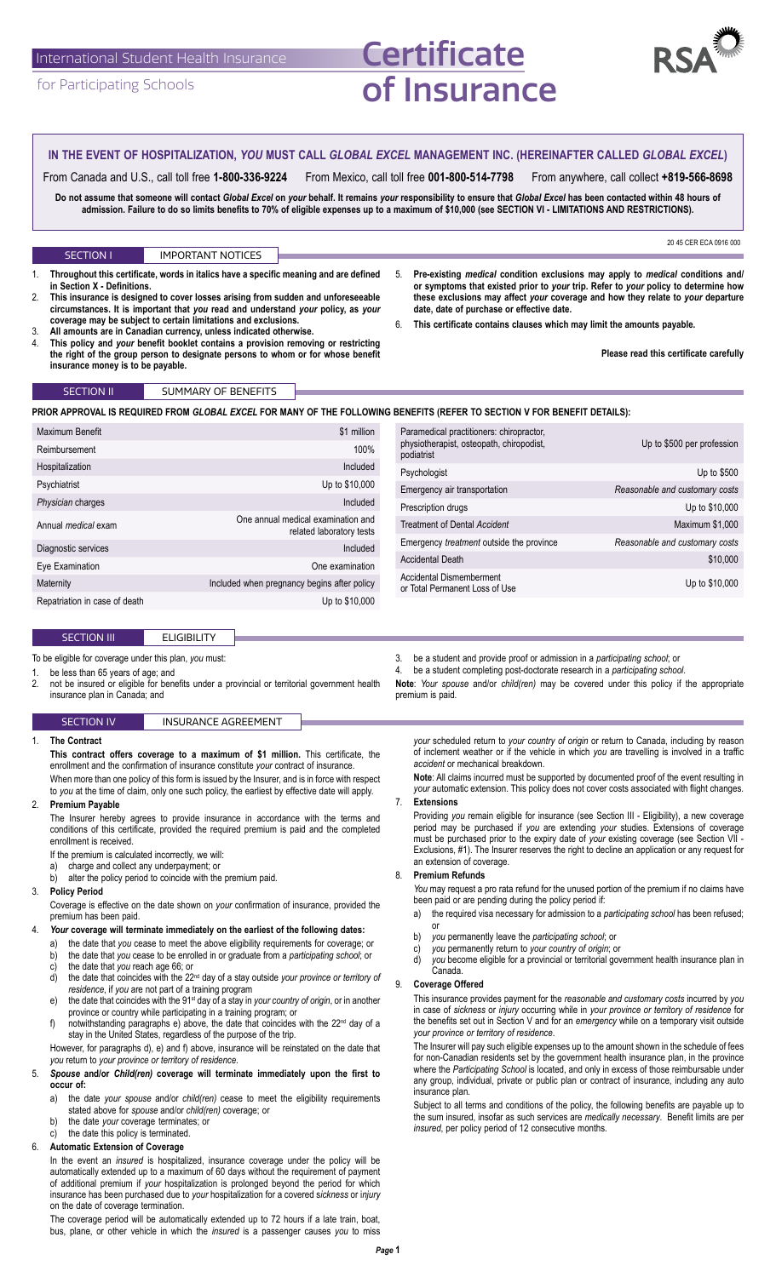# International Student Health Insurance

for Participating Schools

# **Certificate** of Insurance



#### To be eligible for coverage under this plan, *you* must: 1. be less than 65 years of age; and<br>2 not be insured or eligible for ben not be insured or eligible for benefits under a provincial or territorial government health insurance plan in Canada; and 3. be a student and provide proof or admission in a *participating school*; or 4. be a student completing post-doctorate research in a *participating school*. premium is paid. SECTION III ELIGIBILITY 20 45 CER ECA 0916 000 1. **Throughout this certificate, words in italics have a specific meaning and are defined in Section X - Definitions.** 2. **This insurance is designed to cover losses arising from sudden and unforeseeable circumstances. It is important that** *you* **read and understand** *your* **policy, as** *your* **coverage may be subject to certain limitations and exclusions.** 3. **All amounts are in Canadian currency, unless indicated otherwise.** 4. **This policy and** *your* **benefit booklet contains a provision removing or restricting the right of the group person to designate persons to whom or for whose benefit insurance money is to be payable.** 5. **Pre-existing** *medical* **condition exclusions may apply to** *medical* **conditions and/ or symptoms that existed prior to** *your* **trip. Refer to** *your* **policy to determine how these exclusions may affect** *your* **coverage and how they relate to** *your* **departure date, date of purchase or effective date.** 6. **This certificate contains clauses which may limit the amounts payable. Please read this certificate carefully** SECTION I IMPORTANT NOTICES SECTION IV **INSURANCE AGREEMENT** 1. **The Contract This contract offers coverage to a maximum of \$1 million.** This certificate, the enrollment and the confirmation of insurance constitute *your* contract of insurance. When more than one policy of this form is issued by the Insurer, and is in force with respect to *you* at the time of claim, only one such policy, the earliest by effective date will apply. 2. **Premium Payable** The Insurer hereby agrees to provide insurance in accordance with the terms and conditions of this certificate, provided the required premium is paid and the completed enrollment is received. If the premium is calculated incorrectly, we will: a) charge and collect any underpayment; or<br>b) alter the policy period to coincide with the alter the policy period to coincide with the premium paid. 3. **Policy Period** Coverage is effective on the date shown on *your* confirmation of insurance, provided the premium has been paid. 4. *Your* **coverage will terminate immediately on the earliest of the following dates:** a) the date that *you* cease to meet the above eligibility requirements for coverage; or b) the date that *you* cease to be enrolled in or graduate from a *participating school*; or c) the date that *you* reach age 66; or the date that coincides with the 22<sup>nd</sup> day of a stay outside *your province or territory of residence*, if *you* are not part of a training program e) the date that coincides with the 91<sup>st</sup> day of a stay in *your country of origin*, or in another province or country while participating in a training program; or f) notwithstanding paragraphs e) above, the date that coincides with the 22<sup>nd</sup> day of a stay in the United States, regardless of the purpose of the trip. However, for paragraphs d), e) and f) above, insurance will be reinstated on the date that *you* return to *your province or territory of residence*. 5. *Spouse* **and/or** *Child(ren)* **coverage will terminate immediately upon the first to occur of:** a) the date *your spouse* and/or *child(ren)* cease to meet the eligibility requirements stated above for *spouse* and/or *child(ren)* coverage; or b) the date *your* coverage terminates; or c) the date this policy is terminated. 6. **Automatic Extension of Coverage** In the event an *insured* is hospitalized, insurance coverage under the policy will be *accident* or mechanical breakdown. 7. **Extensions** an extension of coverage. 8. **Premium Refunds** *You* may request a pro rata refund for the unused portion of the premium if no claims have been paid or are pending during the policy period if: or b) *you* permanently leave the *participating school*; or c) *you* permanently return to *your country of origin*; or Canada. 9. **Coverage Offered** This insurance provides payment for the *reasonable and customary costs* incurred by *you* in case of *sickness* or *injury* occurring while in *your province or territory of residence* for *your province or territory of residence*. The Insurer will pay such eligible expenses up to the amount shown in the schedule of fees insurance plan. Subject to all terms and conditions of the policy, the following benefits are payable up to *insured*, per policy period of 12 consecutive months. **IN THE EVENT OF HOSPITALIZATION,** *YOU* **MUST CALL** *GLOBAL EXCEL* **MANAGEMENT INC. (HEREINAFTER CALLED** *GLOBAL EXCEL***)** From Canada and U.S., call toll free **1-800-336-9224** From Mexico, call toll free **001-800-514-7798** From anywhere, call collect **+819-566-8698** Do not assume that someone will contact Global Excel on your behalf. It remains your responsibility to ensure that Global Excel has been contacted within 48 hours of **admission. Failure to do so limits benefits to 70% of eligible expenses up to a maximum of \$10,000 (see SECTION VI - LIMITATIONS AND RESTRICTIONS).** Maximum Benefit **\$1 million** \$1 million Reimbursement 100% and the state of the state of the state of the state of the state of the state of the state of the state of the state of the state of the state of the state of the state of the state of the state of the Hospitalization and the control of the control of the control of the control of the control of the control of the control of the control of the control of the control of the control of the control of the control of the con Psychiatrist Up to \$10,000 **Physician** charges **Included** Annual *medical* exam One annual medical examination and related laboratory tests Diagnostic services **Included** Eye Examination **Examination** Changes **Examination** Changes **One examination** Maternity **Included when pregnancy begins after policy** Included when pregnancy begins after policy Repatriation in case of death Up to \$10,000 Paramedical practitioners: chiropractor, physiotherapist, osteopath, chiropodist, podiatrist Up to \$500 per profession Psychologist Up to \$500 Emergency air transportation *Reasonable and customary costs* Prescription drugs **Prescription** drugs **Prescription** drugs **Up** to \$10,000 **Treatment of Dental Accident** Maximum \$1,000 Emergency *treatment* outside the province *Reasonable and customary costs* Accidental Death  $\sim$  810,000 Accidental Dismemberment or Total Permanent Loss of Use Up to \$10,000<br>Total Permanent Loss of Use SECTION II SUMMARY OF BENEFITS **PRIOR APPROVAL IS REQUIRED FROM** *GLOBAL EXCEL* **FOR MANY OF THE FOLLOWING BENEFITS (REFER TO SECTION V FOR BENEFIT DETAILS):**

automatically extended up to a maximum of 60 days without the requirement of payment of additional premium if *your* hospitalization is prolonged beyond the period for which insurance has been purchased due to *your* hospitalization for a covered s*ickness* or i*njury* on the date of coverage termination.

The coverage period will be automatically extended up to 72 hours if a late train, boat, bus, plane, or other vehicle in which the *insured* is a passenger causes *you* to miss **Note**: *Your spouse* and/or *child(ren)* may be covered under this policy if the appropriate

*your* scheduled return to *your country of origin* or return to Canada, including by reason of inclement weather or if the vehicle in which *you* are travelling is involved in a traffic

**Note**: All claims incurred must be supported by documented proof of the event resulting in *your* automatic extension. This policy does not cover costs associated with flight changes.

Providing *you* remain eligible for insurance (see Section III - Eligibility), a new coverage period may be purchased if *you* are extending *your* studies. Extensions of coverage must be purchased prior to the expiry date of *your* existing coverage (see Section VII - Exclusions, #1). The Insurer reserves the right to decline an application or any request for

- a) the required visa necessary for admission to a *participating school* has been refused;
- you become eligible for a provincial or territorial government health insurance plan in

the benefits set out in Section V and for an *emergency* while on a temporary visit outside

for non-Canadian residents set by the government health insurance plan, in the province where the *Participating School* is located, and only in excess of those reimbursable under any group, individual, private or public plan or contract of insurance, including any auto

the sum insured, insofar as such services are *medically necessary*. Benefit limits are per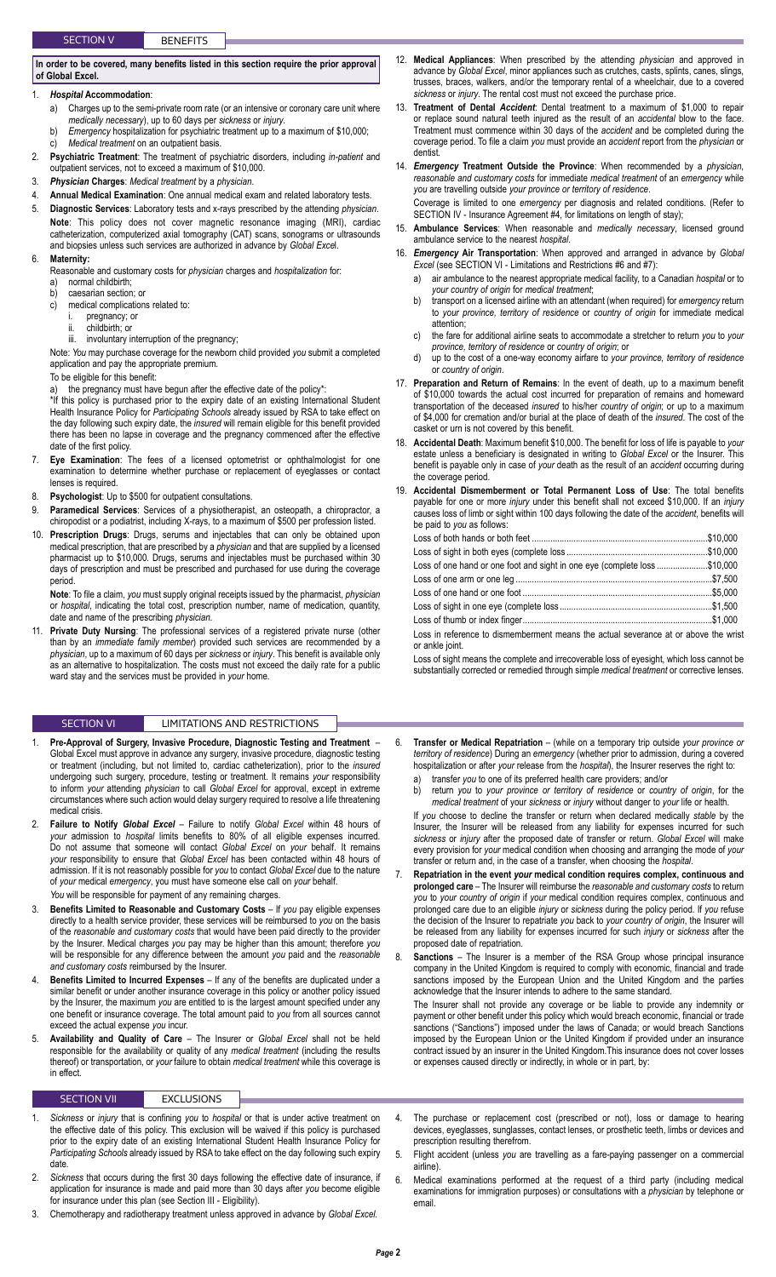# **In order to be covered, many benefits listed in this section require the prior approval of Global Excel.**

- 1. *Hospital* **Accommodation**:
	- a) Charges up to the semi-private room rate (or an intensive or coronary care unit where *medically necessary*), up to 60 days per *sickness* or *injury*.
	- b) *Emergency* hospitalization for psychiatric treatment up to a maximum of \$10,000; c) *Medical treatment* on an outpatient basis.
- 2. **Psychiatric Treatment**: The treatment of psychiatric disorders, including *in-patient* and outpatient services, not to exceed a maximum of \$10,000.
- 3. *Physician* **Charges**: *Medical treatment* by a *physician*.
- 4. **Annual Medical Examination**: One annual medical exam and related laboratory tests.
- 5. **Diagnostic Services**: Laboratory tests and x-rays prescribed by the attending *physician*. **Note**: This policy does not cover magnetic resonance imaging (MRI), cardiac catheterization, computerized axial tomography (CAT) scans, sonograms or ultrasounds and biopsies unless such services are authorized in advance by *Global Exce*l.
- 6. **Maternity:**
	- Reasonable and customary costs for *physician* charges and *hospitalization* for:
	- a) normal childbirth; b) caesarian section; or
	- c) medical complications related to:
	- pregnancy; or
		- childbirth; or
	- iii. involuntary interruption of the pregnancy;

Note: *You* may purchase coverage for the newborn child provided *you* submit a completed application and pay the appropriate premium.

To be eligible for this benefit:

a) the pregnancy must have begun after the effective date of the policy\*:

\*If this policy is purchased prior to the expiry date of an existing International Student Health Insurance Policy for *Participating Schools* already issued by RSA to take effect on the day following such expiry date, the *insured* will remain eligible for this benefit provided there has been no lapse in coverage and the pregnancy commenced after the effective date of the first policy.

- 7. **Eye Examination**: The fees of a licensed optometrist or ophthalmologist for one examination to determine whether purchase or replacement of eyeglasses or contact lenses is required.
- 8. **Psychologist**: Up to \$500 for outpatient consultations.
- 9. **Paramedical Services**: Services of a physiotherapist, an osteopath, a chiropractor, a chiropodist or a podiatrist, including X-rays, to a maximum of \$500 per profession listed.
- 10. **Prescription Drugs**: Drugs, serums and injectables that can only be obtained upon medical prescription, that are prescribed by a *physician* and that are supplied by a licensed pharmacist up to \$10,000. Drugs, serums and injectables must be purchased within 30 days of prescription and must be prescribed and purchased for use during the coverage period.

**Note**: To file a claim, *you* must supply original receipts issued by the pharmacist, *physician* or *hospital*, indicating the total cost, prescription number, name of medication, quantity, date and name of the prescribing *physician*.

11. **Private Duty Nursing**: The professional services of a registered private nurse (other than by an *immediate family member*) provided such services are recommended by a *physician*, up to a maximum of 60 days per *sickness* or *injury*. This benefit is available only as an alternative to hospitalization. The costs must not exceed the daily rate for a public ward stay and the services must be provided in *your* home.

# SECTION VI LIMITATIONS AND RESTRICTIONS

- 1. **Pre-Approval of Surgery, Invasive Procedure, Diagnostic Testing and Treatment**  Global Excel must approve in advance any surgery, invasive procedure, diagnostic testing or treatment (including, but not limited to, cardiac catheterization), prior to the *insured* undergoing such surgery, procedure, testing or treatment. It remains *your* responsibility to inform *your* attending *physician* to call *Global Excel* for approval, except in extreme circumstances where such action would delay surgery required to resolve a life threatening medical crisis.
- 2. **Failure to Notify** *Global Excel* Failure to notify *Global Excel* within 48 hours of *your* admission to *hospital* limits benefits to 80% of all eligible expenses incurred. Do not assume that someone will contact *Global Excel* on *your* behalf. It remains *your* responsibility to ensure that *Global Excel* has been contacted within 48 hours of admission. If it is not reasonably possible for *you* to contact *Global Excel* due to the nature of *your* medical *emergency*, you must have someone else call on *your* behalf. *You* will be responsible for payment of any remaining charges.
- 3. **Benefits Limited to Reasonable and Customary Costs** If *you* pay eligible expenses directly to a health service provider, these services will be reimbursed to *you* on the basis of the *reasonable and customary costs* that would have been paid directly to the provider by the Insurer. Medical charges *you* pay may be higher than this amount; therefore *you* will be responsible for any difference between the amount *you* paid and the *reasonable and customary costs* reimbursed by the Insurer.
- 4. **Benefits Limited to Incurred Expenses** If any of the benefits are duplicated under a similar benefit or under another insurance coverage in this policy or another policy issued by the Insurer, the maximum *you* are entitled to is the largest amount specified under any one benefit or insurance coverage. The total amount paid to *you* from all sources cannot exceed the actual expense *you* incur.
- 5. **Availability and Quality of Care** The Insurer or *Global Excel* shall not be held responsible for the availability or quality of any *medical treatment* (including the results thereof) or transportation, or *your* failure to obtain *medical treatment* while this coverage is in effect.

### SECTION VII EXCLUSIONS

- 1. *Sickness* or *injury* that is confining *you* to *hospital* or that is under active treatment on the effective date of this policy. This exclusion will be waived if this policy is purchased prior to the expiry date of an existing International Student Health Insurance Policy for *Participating Schools* already issued by RSA to take effect on the day following such expiry date.
- 2. *Sickness* that occurs during the first 30 days following the effective date of insurance, if application for insurance is made and paid more than 30 days after *you* become eligible for insurance under this plan (see Section III - Eligibility).
- 3. Chemotherapy and radiotherapy treatment unless approved in advance by *Global Excel*.
- 12. **Medical Appliances**: When prescribed by the attending *physician* and approved in advance by *Global Excel*, minor appliances such as crutches, casts, splints, canes, slings, trusses, braces, walkers, and/or the temporary rental of a wheelchair, due to a covered *sickness* or *injury*. The rental cost must not exceed the purchase price.
- 13. **Treatment of Dental** *Accident*: Dental treatment to a maximum of \$1,000 to repair or replace sound natural teeth injured as the result of an *accidental* blow to the face. Treatment must commence within 30 days of the *accident* and be completed during the coverage period. To file a claim *you* must provide an *accident* report from the *physician* or dentist.
- 14. *Emergency* **Treatment Outside the Province**: When recommended by a *physician*, *reasonable and customary costs* for immediate *medical treatment* of an *emergency* while *you* are travelling outside *your province or territory of residence*.
	- Coverage is limited to one *emergency* per diagnosis and related conditions. (Refer to SECTION IV - Insurance Agreement #4, for limitations on length of stay);
- 15. **Ambulance Services**: When reasonable and *medically necessary*, licensed ground ambulance service to the nearest *hospital*.
- 16. *Emergency* **Air Transportation**: When approved and arranged in advance by *Global Excel* (see SECTION VI - Limitations and Restrictions #6 and #7):
	- a) air ambulance to the nearest appropriate medical facility, to a Canadian *hospital* or to *your country of origin* for *medical treatment*;
	- b) transport on a licensed airline with an attendant (when required) for *emergency* return to *your province, territory of residence* or *country of origin* for immediate medical attention;
	- c) the fare for additional airline seats to accommodate a stretcher to return *you* to *your province, territory of residence* or *country of origin*; or
	- d) up to the cost of a one-way economy airfare to *your province, territory of residence* or *country of origin*.
- 17. **Preparation and Return of Remains**: In the event of death, up to a maximum benefit of \$10,000 towards the actual cost incurred for preparation of remains and homeward transportation of the deceased *insured* to his/her *country of origin*; or up to a maximum of \$4,000 for cremation and/or burial at the place of death of the *insured*. The cost of the casket or urn is not covered by this benefit.
- 18. **Accidental Death**: Maximum benefit \$10,000. The benefit for loss of life is payable to *your* estate unless a beneficiary is designated in writing to *Global Excel* or the Insurer. This benefit is payable only in case of *your* death as the result of an *accident* occurring during the coverage period.
- 19. **Accidental Dismemberment or Total Permanent Loss of Use**: The total benefits payable for one or more *injury* under this benefit shall not exceed \$10,000. If an *injury* causes loss of limb or sight within 100 days following the date of the *accident*, benefits will be paid to *you* as follows:

| Loss of one hand or one foot and sight in one eye (complete loss \$10,000                              |  |
|--------------------------------------------------------------------------------------------------------|--|
|                                                                                                        |  |
|                                                                                                        |  |
|                                                                                                        |  |
|                                                                                                        |  |
| Loss in reference to dismemberment means the actual severance at or above the wrist<br>or ankle joint. |  |

Loss of sight means the complete and irrecoverable loss of eyesight, which loss cannot be substantially corrected or remedied through simple *medical treatment* or corrective lenses.

- 6. **Transfer or Medical Repatriation** (while on a temporary trip outside *your province or territory of residence*) During an *emergency* (whether prior to admission, during a covered hospitalization or after *your* release from the *hospital*), the Insurer reserves the right to:
	- a) transfer *you* to one of its preferred health care providers; and/or<br>b) return *you* to *your province or territory of residence* or *couni*
	- b) return *you* to *your province or territory of residence* or *country of origin*, for the *medical treatment* of your *sickness* or *injury* without danger to *your* life or health.

If *you* choose to decline the transfer or return when declared medically *stable* by the Insurer, the Insurer will be released from any liability for expenses incurred for such *sickness* or *injury* after the proposed date of transfer or return. *Global Excel* will make every provision for *your* medical condition when choosing and arranging the mode of *your* transfer or return and, in the case of a transfer, when choosing the *hospital*.

- 7. **Repatriation in the event** *your* **medical condition requires complex, continuous and prolonged care** – The Insurer will reimburse the *reasonable and customary costs* to return *you* to *your country of origin* if *your* medical condition requires complex, continuous and prolonged care due to an eligible *injury* or *sickness* during the policy period. If *you* refuse the decision of the Insurer to repatriate *you* back to *your country of origin*, the Insurer will be released from any liability for expenses incurred for such *injury* or *sickness* after the proposed date of repatriation.
- 8. **Sanctions** The Insurer is a member of the RSA Group whose principal insurance company in the United Kingdom is required to comply with economic, financial and trade sanctions imposed by the European Union and the United Kingdom and the parties acknowledge that the Insurer intends to adhere to the same standard.

The Insurer shall not provide any coverage or be liable to provide any indemnity or payment or other benefit under this policy which would breach economic, financial or trade sanctions ("Sanctions") imposed under the laws of Canada; or would breach Sanctions imposed by the European Union or the United Kingdom if provided under an insurance contract issued by an insurer in the United Kingdom.This insurance does not cover losses or expenses caused directly or indirectly, in whole or in part, by:

- The purchase or replacement cost (prescribed or not), loss or damage to hearing devices, eyeglasses, sunglasses, contact lenses, or prosthetic teeth, limbs or devices and prescription resulting therefrom.
- 5. Flight accident (unless *you* are travelling as a fare-paying passenger on a commercial airline).
- 6. Medical examinations performed at the request of a third party (including medical examinations for immigration purposes) or consultations with a *physician* by telephone or email.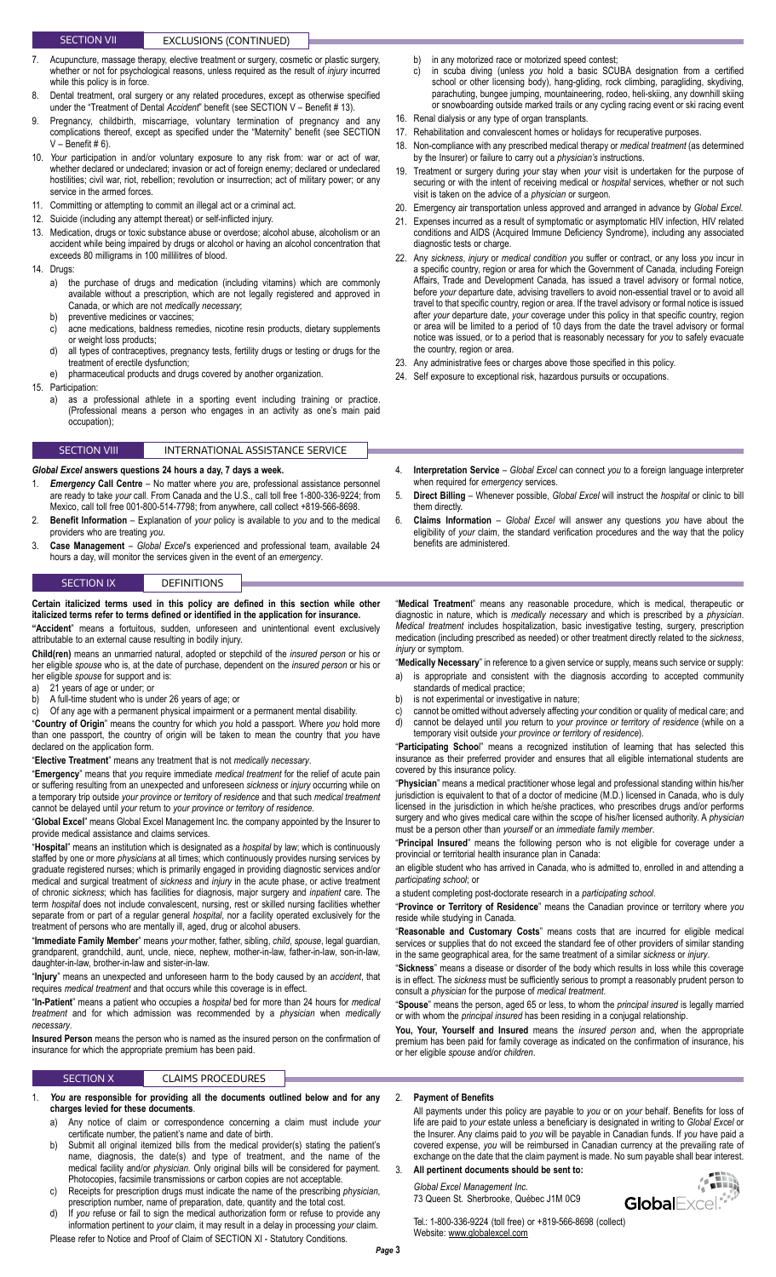### SECTION VII **EXCLUSIONS** (CONTINUED)

- Acupuncture, massage therapy, elective treatment or surgery, cosmetic or plastic surgery, whether or not for psychological reasons, unless required as the result of *injury* incurred while this policy is in force.
- 8. Dental treatment, oral surgery or any related procedures, except as otherwise specified under the "Treatment of Dental *Accident*" benefit (see SECTION V – Benefit # 13).
- 9. Pregnancy, childbirth, miscarriage, voluntary termination of pregnancy and any complications thereof, except as specified under the "Maternity" benefit (see SECTION  $V -$  Benefit # 6).
- 10. *Your* participation in and/or voluntary exposure to any risk from: war or act of war, whether declared or undeclared; invasion or act of foreign enemy; declared or undeclared hostilities; civil war, riot, rebellion; revolution or insurrection; act of military power; or any service in the armed forces.
- 11. Committing or attempting to commit an illegal act or a criminal act.
- 12. Suicide (including any attempt thereat) or self-inflicted injury.
- 13. Medication, drugs or toxic substance abuse or overdose; alcohol abuse, alcoholism or an accident while being impaired by drugs or alcohol or having an alcohol concentration that exceeds 80 milligrams in 100 millilitres of blood.
- 14. Drugs:
	- a) the purchase of drugs and medication (including vitamins) which are commonly available without a prescription, which are not legally registered and approved in Canada, or which are not *medically necessary*;
	- b) preventive medicines or vaccines; c) acne medications, baldness remedies, nicotine resin products, dietary supplements or weight loss products;
	- d) all types of contraceptives, pregnancy tests, fertility drugs or testing or drugs for the treatment of erectile dysfunction;
	- e) pharmaceutical products and drugs covered by another organization.
- 15. Participation:<br>a) as a p
	- as a professional athlete in a sporting event including training or practice. (Professional means a person who engages in an activity as one's main paid occupation);

# SECTION VIII **INTERNATIONAL ASSISTANCE SERVICE**

#### *Global Excel* **answers questions 24 hours a day, 7 days a week.**

- 1. *Emergency* **Call Centre**  No matter where *you* are, professional assistance personnel are ready to take *your* call. From Canada and the U.S., call toll free 1-800-336-9224; from Mexico, call toll free 001-800-514-7798; from anywhere, call collect +819-566-8698.
- 2. **Benefit Information**  Explanation of *your* policy is available to *you* and to the medical providers who are treating *you*.
- 3. **Case Management**  *Global Excel*'s experienced and professional team, available 24 hours a day, will monitor the services given in the event of an *emergency*.

### SECTION IX DEFINITIONS

# **Certain italicized terms used in this policy are defined in this section while other italicized terms refer to terms defined or identified in the application for insurance.**

**"Accident**" means a fortuitous, sudden, unforeseen and unintentional event exclusively attributable to an external cause resulting in bodily injury.

**Child(ren)** means an unmarried natural, adopted or stepchild of the *insured person* or his or her eligible *spouse* who is, at the date of purchase, dependent on the *insured person* or his or her eligible *spouse* for support and is:

- a) 21 years of age or under; or
- b) A full-time student who is under 26 years of age; or
- c) Of any age with a permanent physical impairment or a permanent mental disability.

"**Country of Origin**" means the country for which *you* hold a passport. Where *you* hold more than one passport, the country of origin will be taken to mean the country that *you* have declared on the application form.

"**Elective Treatment**" means any treatment that is not *medically necessary*.

"**Emergency**" means that *you* require immediate *medical treatment* for the relief of acute pain or suffering resulting from an unexpected and unforeseen *sickness* or *injury* occurring while on a temporary trip outside *your province or territory of residence* and that such *medical treatment* cannot be delayed until *your* return to *your province or territory of residence.*

"**Global Excel**" means Global Excel Management Inc. the company appointed by the Insurer to provide medical assistance and claims services.

"**Hospital**" means an institution which is designated as a *hospital* by law; which is continuously staffed by one or more *physicians* at all times; which continuously provides nursing services by graduate registered nurses; which is primarily engaged in providing diagnostic services and/or medical and surgical treatment of *sickness* and *injury* in the acute phase, or active treatment of chronic *sickness*; which has facilities for diagnosis, major surgery and *inpatient* care. The term *hospital* does not include convalescent, nursing, rest or skilled nursing facilities whether separate from or part of a regular general *hospital*, nor a facility operated exclusively for the treatment of persons who are mentally ill, aged, drug or alcohol abusers.

"**Immediate Family Member**" means *your* mother, father, sibling, *child*, *spouse*, legal guardian, grandparent, grandchild, aunt, uncle, niece, nephew, mother-in-law, father-in-law, son-in-law, daughter-in-law, brother-in-law and sister-in-law.

"**Injury**" means an unexpected and unforeseen harm to the body caused by an *accident*, that requires *medical treatment* and that occurs while this coverage is in effect.

"**In-Patient**" means a patient who occupies a *hospital* bed for more than 24 hours for *medical treatment* and for which admission was recommended by a *physician* when *medically necessary*.

**Insured Person** means the person who is named as the insured person on the confirmation of insurance for which the appropriate premium has been paid.

# SECTION X **CLAIMS PROCEDURES**

- You are responsible for providing all the documents outlined below and for any **charges levied for these documents**.
	- a) Any notice of claim or correspondence concerning a claim must include *your* certificate number, the patient's name and date of birth.
	- b) Submit all original itemized bills from the medical provider(s) stating the patient's name, diagnosis, the date(s) and type of treatment, and the name of the medical facility and/or *physician*. Only original bills will be considered for payment. Photocopies, facsimile transmissions or carbon copies are not acceptable.
	- c) Receipts for prescription drugs must indicate the name of the prescribing *physician*, prescription number, name of preparation, date, quantity and the total cost.
	- d) If *you* refuse or fail to sign the medical authorization form or refuse to provide any information pertinent to *your* claim, it may result in a delay in processing *your* claim.
	- Please refer to Notice and Proof of Claim of SECTION XI Statutory Conditions.
- b) in any motorized race or motorized speed contest;
- c) in scuba diving (unless *you* hold a basic SCUBA designation from a certified school or other licensing body), hang-gliding, rock climbing, paragliding, skydiving, parachuting, bungee jumping, mountaineering, rodeo, heli-skiing, any downhill skiing or snowboarding outside marked trails or any cycling racing event or ski racing event
- 16. Renal dialysis or any type of organ transplants.
- 17. Rehabilitation and convalescent homes or holidays for recuperative purposes.
- 18. Non-compliance with any prescribed medical therapy or *medical treatment* (as determined by the Insurer) or failure to carry out a *physician's* instructions.
- 19. Treatment or surgery during *your* stay when *your* visit is undertaken for the purpose of securing or with the intent of receiving medical or *hospital* services, whether or not such visit is taken on the advice of a *physician* or surgeon.
- 20. Emergency air transportation unless approved and arranged in advance by *Global Excel*.
- 21. Expenses incurred as a result of symptomatic or asymptomatic HIV infection, HIV related conditions and AIDS (Acquired Immune Deficiency Syndrome), including any associated diagnostic tests or charge.
- 22. Any *sickness*, *injury* or *medical condition you* suffer or contract, or any loss *you* incur in a specific country, region or area for which the Government of Canada, including Foreign Affairs, Trade and Development Canada, has issued a travel advisory or formal notice, before *your* departure date, advising travellers to avoid non-essential travel or to avoid all travel to that specific country, region or area. If the travel advisory or formal notice is issued after *your* departure date, *your* coverage under this policy in that specific country, region or area will be limited to a period of 10 days from the date the travel advisory or formal notice was issued, or to a period that is reasonably necessary for *you* to safely evacuate the country, region or area.
- 23. Any administrative fees or charges above those specified in this policy.
- 24. Self exposure to exceptional risk, hazardous pursuits or occupations.
- 4. **Interpretation Service**  *Global Excel* can connect *you* to a foreign language interpreter when required for *emergency* services.
- 5. **Direct Billing**  Whenever possible, *Global Excel* will instruct the *hospital* or clinic to bill them directly.
- 6. **Claims Information**  *Global Excel* will answer any questions *you* have about the eligibility of *your* claim, the standard verification procedures and the way that the policy benefits are administered.

"**Medical Treatmen**t" means any reasonable procedure, which is medical, therapeutic or diagnostic in nature, which is *medically necessary* and which is prescribed by a *physician*. *Medical treatment* includes hospitalization, basic investigative testing, surgery, prescription medication (including prescribed as needed) or other treatment directly related to the *sickness*, *injury* or symptom.

"**Medically Necessary**" in reference to a given service or supply, means such service or supply: a) is appropriate and consistent with the diagnosis according to accepted community

- standards of medical practice;
- b) is not experimental or investigative in nature;
- c) cannot be omitted without adversely affecting *your* condition or quality of medical care; and d) cannot be delayed until *you* return to *your province or territory of residence* (while on a temporary visit outside *your province or territory of residence*).

"**Participating Schoo**l" means a recognized institution of learning that has selected this insurance as their preferred provider and ensures that all eligible international students are covered by this insurance policy.

"**Physician**" means a medical practitioner whose legal and professional standing within his/her jurisdiction is equivalent to that of a doctor of medicine (M.D.) licensed in Canada, who is duly licensed in the jurisdiction in which he/she practices, who prescribes drugs and/or performs surgery and who gives medical care within the scope of his/her licensed authority. A *physician* must be a person other than *yourself* or an *immediate family member*.

"**Principal Insured**" means the following person who is not eligible for coverage under a provincial or territorial health insurance plan in Canada:

an eligible student who has arrived in Canada, who is admitted to, enrolled in and attending a *participating school*; or

a student completing post-doctorate research in a *participating school*.

"**Province or Territory of Residence**" means the Canadian province or territory where *you* reside while studying in Canada.

"**Reasonable and Customary Costs**" means costs that are incurred for eligible medical services or supplies that do not exceed the standard fee of other providers of similar standing in the same geographical area, for the same treatment of a similar *sickness* or *injury*.

"**Sickness**" means a disease or disorder of the body which results in loss while this coverage is in effect. The *sickness* must be sufficiently serious to prompt a reasonably prudent person to consult a *physician* for the purpose of *medical treatment*.

"**Spouse**" means the person, aged 65 or less, to whom the *principal insured* is legally married or with whom the *principal insured* has been residing in a conjugal relationship.

**You, Your, Yourself and Insured** means the *insured person* and, when the appropriate premium has been paid for family coverage as indicated on the confirmation of insurance, his or her eligible *spouse* and/or *children*.

### 2. **Payment of Benefits**

All payments under this policy are payable to *you* or on *your* behalf. Benefits for loss of life are paid to *your* estate unless a beneficiary is designated in writing to *Global Excel* or the Insurer. Any claims paid to *you* will be payable in Canadian funds. If *you* have paid a covered expense, *you* will be reimbursed in Canadian currency at the prevailing rate of exchange on the date that the claim payment is made. No sum payable shall bear interest.

- 3. **All pertinent documents should be sent to:** *Global Excel Management Inc.*
	- 73 Queen St. Sherbrooke, Québec J1M 0C9

 $\left\langle \left\langle \left\langle \left\langle \mathbf{H} \right\rangle \right\rangle \right\rangle \right\rangle$ GlobalExcel.<sup>4</sup>

Tel.: 1-800-336-9224 (toll free) or +819-566-8698 (collect) Website: [www.globalexcel.com](http://www.globalexcel.com)